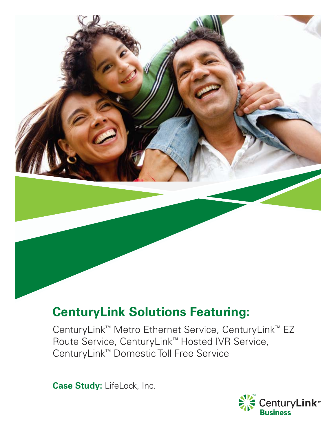

# **CenturyLink Solutions Featuring:**

CenturyLink™ Metro Ethernet Service, CenturyLink™ EZ Route Service, CenturyLink™ Hosted IVR Service, CenturyLink™ Domestic Toll Free Service

**Case Study:** LifeLock, Inc.

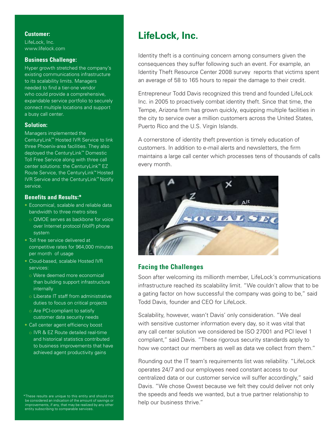#### **Customer:**

LifeLock, Inc. www.lifelock.com

#### **Business Challenge:**

Hyper growth stretched the company's existing communications infrastructure to its scalability limits. Managers needed to find a tier-one vendor who could provide a comprehensive, expandable service portfolio to securely connect multiple locations and support a busy call center.

#### **Solution:**

Managers implemented the

CenturyLink™ Hosted IVR Service to link three Phoenix-area facilities. They also deployed the CenturyLink™ Domestic Toll Free Service along with three call center solutions: the CenturyLink™ EZ Route Service, the CenturyLink™ Hosted IVR Service and the CenturyLink™ Notify service.

#### **Benefits and Results:\***

- Economical, scalable and reliable data bandwidth to three metro sites
	- o QMOE serves as backbone for voice over Internet protocol (VoIP) phone system
- Toll free service delivered at competitive rates for 964,000 minutes per month of usage
- Cloud-based, scalable Hosted IVR services:
	- o Were deemed more economical than building support infrastructure internally
	- o Liberate IT staff from administrative duties to focus on critical projects
	- o Are PCI-compliant to satisfy customer data security needs
- Call center agent efficiency boost
- o IVR & EZ Route detailed real-time and historical statistics contributed to business improvements that have achieved agent productivity gains

\*These results are unique to this entity and should not be considered an indication of the amount of savings or improvements, if any, that may be realized by any other entity subscribing to comparable services.

# **LifeLock, Inc.**

Identity theft is a continuing concern among consumers given the consequences they suffer following such an event. For example, an Identity Theft Resource Center 2008 survey reports that victims spent an average of 58 to 165 hours to repair the damage to their credit.

Entrepreneur Todd Davis recognized this trend and founded LifeLock Inc. in 2005 to proactively combat identity theft. Since that time, the Tempe, Arizona firm has grown quickly, equipping multiple facilities in the city to service over a million customers across the United States, Puerto Rico and the U.S. Virgin Islands.

A cornerstone of identity theft prevention is timely education of customers. In addition to e-mail alerts and newsletters, the firm maintains a large call center which processes tens of thousands of calls every month.



### **Facing the Challenges**

Soon after welcoming its millionth member, LifeLock's communications infrastructure reached its scalability limit. "We couldn't allow that to be a gating factor on how successful the company was going to be," said Todd Davis, founder and CEO for LifeLock.

Scalability, however, wasn't Davis' only consideration. "We deal with sensitive customer information every day, so it was vital that any call center solution we considered be ISO 27001 and PCI level 1 compliant," said Davis. "These rigorous security standards apply to how we contact our members as well as data we collect from them."

Rounding out the IT team's requirements list was reliability. "LifeLock operates 24/7 and our employees need constant access to our centralized data or our customer service will suffer accordingly," said Davis. "We chose Qwest because we felt they could deliver not only the speeds and feeds we wanted, but a true partner relationship to help our business thrive."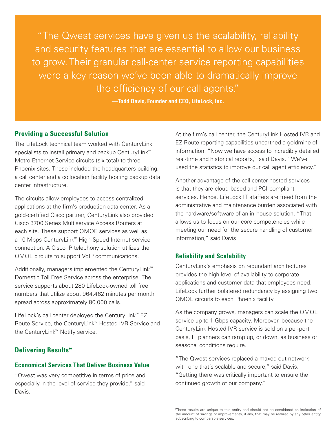"The Qwest services have given us the scalability, reliability and security features that are essential to allow our business to grow. Their granular call-center service reporting capabilities were a key reason we've been able to dramatically improve the efficiency of our call agents."

**—Todd Davis, Founder and CEO, LifeLock, Inc.**

## **Providing a Successful Solution**

The LifeLock technical team worked with CenturyLink specialists to install primary and backup CenturyLink™ Metro Ethernet Service circuits (six total) to three Phoenix sites. These included the headquarters building, a call center and a collocation facility hosting backup data center infrastructure.

The circuits allow employees to access centralized applications at the firm's production data center. As a gold-certified Cisco partner, CenturyLink also provided Cisco 3700 Series Multiservice Access Routers at each site. These support QMOE services as well as a 10 Mbps CenturyLink™ High-Speed Internet service connection. A Cisco IP telephony solution utilizes the QMOE circuits to support VoIP communications.

Additionally, managers implemented the CenturyLink™ Domestic Toll Free Service across the enterprise. The service supports about 280 LifeLock-owned toll free numbers that utilize about 964,462 minutes per month spread across approximately 80,000 calls.

LifeLock's call center deployed the CenturyLink™ EZ Route Service, the CenturyLink™ Hosted IVR Service and the CenturyLink™ Notify service.

# **Delivering Results\***

#### **Economical Services That Deliver Business Value**

"Qwest was very competitive in terms of price and especially in the level of service they provide," said Davis.

At the firm's call center, the CenturyLink Hosted IVR and EZ Route reporting capabilities unearthed a goldmine of information. "Now we have access to incredibly detailed real-time and historical reports," said Davis. "We've used the statistics to improve our call agent efficiency."

Another advantage of the call center hosted services is that they are cloud-based and PCI-compliant services. Hence, LifeLock IT staffers are freed from the administrative and maintenance burden associated with the hardware/software of an in-house solution. "That allows us to focus on our core competencies while meeting our need for the secure handling of customer information," said Davis.

#### **Reliability and Scalability**

CenturyLink's emphasis on redundant architectures provides the high level of availability to corporate applications and customer data that employees need. LifeLock further bolstered redundancy by assigning two QMOE circuits to each Phoenix facility.

As the company grows, managers can scale the QMOE service up to 1 Gbps capacity. Moreover, because the CenturyLink Hosted IVR service is sold on a per-port basis, IT planners can ramp up, or down, as business or seasonal conditions require.

"The Qwest services replaced a maxed out network with one that's scalable and secure." said Davis. "Getting there was critically important to ensure the continued growth of our company."

<sup>\*</sup>These results are unique to this entity and should not be considered an indication of the amount of savings or improvements, if any, that may be realized by any other entity subscribing to comparable services.